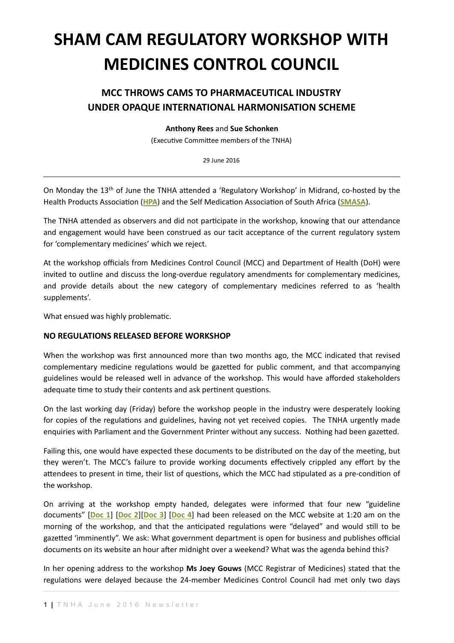# **SHAM CAM REGULATORY WORKSHOP WITH MEDICINES CONTROL COUNCIL**

## **MCC THROWS CAMS TO PHARMACEUTICAL INDUSTRY UNDER OPAQUE INTERNATIONAL HARMONISATION SCHEME**

**Anthony Rees** and **Sue Schonken**

(Executive Committee members of the TNHA)

29 June 2016

On Monday the 13<sup>th</sup> of June the TNHA attended a 'Regulatory Workshop' in Midrand, co-hosted by the Health Products Association ([HPA](http://www.hpasa.co.za/)) and the Self Medication Association of South Africa ([SMASA](http://www.smasa.cc/)).

The TNHA attended as observers and did not participate in the workshop, knowing that our attendance and engagement would have been construed as our tacit acceptance of the current regulatory system for 'complementary medicines' which we reject.

At the workshop officials from Medicines Control Council (MCC) and Department of Health (DoH) were invited to outline and discuss the long-overdue regulatory amendments for complementary medicines, and provide details about the new category of complementary medicines referred to as 'health supplements'. 

What ensued was highly problematic.

## **NO REGULATIONS RELEASED BEFORE WORKSHOP**

When the workshop was first announced more than two months ago, the MCC indicated that revised complementary medicine regulations would be gazetted for public comment, and that accompanying guidelines would be released well in advance of the workshop. This would have afforded stakeholders adequate time to study their contents and ask pertinent questions.

On the last working day (Friday) before the workshop people in the industry were desperately looking for copies of the regulations and guidelines, having not yet received copies. The TNHA urgently made enquiries with Parliament and the Government Printer without any success. Nothing had been gazetted.

Failing this, one would have expected these documents to be distributed on the day of the meeting, but they weren't. The MCC's failure to provide working documents effectively crippled any effort by the attendees to present in time, their list of questions, which the MCC had stipulated as a pre-condition of the workshop.

On arriving at the workshop empty handed, delegates were informed that four new "guideline documents"  $[Doc 1] [Doc 2] [Doc 3] [Doc 4] had been released on the MCC website at 1:20 am on the$ morning of the workshop, and that the anticipated regulations were "delayed" and would still to be gazetted 'imminently". We ask: What government department is open for business and publishes official documents on its website an hour after midnight over a weekend? What was the agenda behind this?

In her opening address to the workshop Ms Joey Gouws (MCC Registrar of Medicines) stated that the regulations were delayed because the 24-member Medicines Control Council had met only two days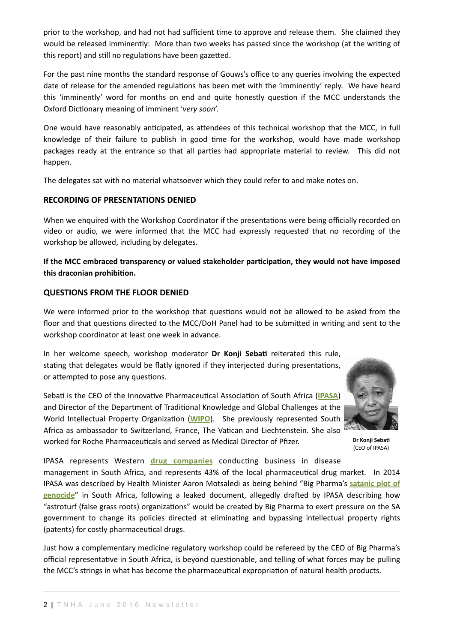prior to the workshop, and had not had sufficient time to approve and release them. She claimed they would be released imminently: More than two weeks has passed since the workshop (at the writing of this report) and still no regulations have been gazetted.

For the past nine months the standard response of Gouws's office to any queries involving the expected date of release for the amended regulations has been met with the 'imminently' reply. We have heard this 'imminently' word for months on end and quite honestly question if the MCC understands the Oxford Dictionary meaning of imminent 'very soon'.

One would have reasonably anticipated, as attendees of this technical workshop that the MCC, in full knowledge of their failure to publish in good time for the workshop, would have made workshop packages ready at the entrance so that all parties had appropriate material to review. This did not happen. 

The delegates sat with no material whatsoever which they could refer to and make notes on.

## **RECORDING OF PRESENTATIONS DENIED**

When we enquired with the Workshop Coordinator if the presentations were being officially recorded on video or audio, we were informed that the MCC had expressly requested that no recording of the workshop be allowed, including by delegates.

If the MCC embraced transparency or valued stakeholder participation, they would not have imposed this draconian prohibition.

#### **QUESTIONS FROM THE FLOOR DENIED**

We were informed prior to the workshop that questions would not be allowed to be asked from the floor and that questions directed to the MCC/DoH Panel had to be submitted in writing and sent to the workshop coordinator at least one week in advance.

In her welcome speech, workshop moderator Dr Konji Sebati reiterated this rule, stating that delegates would be flatly ignored if they interjected during presentations, or attempted to pose any questions.

Sebati is the CEO of the Innovative Pharmaceutical Association of South Africa ([IPASA](http://www.ipasa.co.za/)) and Director of the Department of Traditional Knowledge and Global Challenges at the World Intellectual Property Organization ([WIPO](http://www.wipo.int)). She previously represented South Africa as ambassador to Switzerland, France, The Vatican and Liechtenstein. She also worked for Roche Pharmaceuticals and served as Medical Director of Pfizer.



**Dr Konii Sebati** (CEO of IPASA)

IPASA represents Western *drug companies* conducting business in disease management in South Africa, and represents 43% of the local pharmaceutical drug market. In 2014 IPASA was described by Health Minister Aaron Motsaledi as being behind "Big Pharma's satanic plot of **genocide**" in South Africa, following a leaked document, allegedly drafted by IPASA describing how "astroturf (false grass roots) organizations" would be created by Big Pharma to exert pressure on the SA government to change its policies directed at eliminating and bypassing intellectual property rights (patents) for costly pharmaceutical drugs.

Just how a complementary medicine regulatory workshop could be refereed by the CEO of Big Pharma's official representative in South Africa, is beyond questionable, and telling of what forces may be pulling the MCC's strings in what has become the pharmaceutical expropriation of natural health products.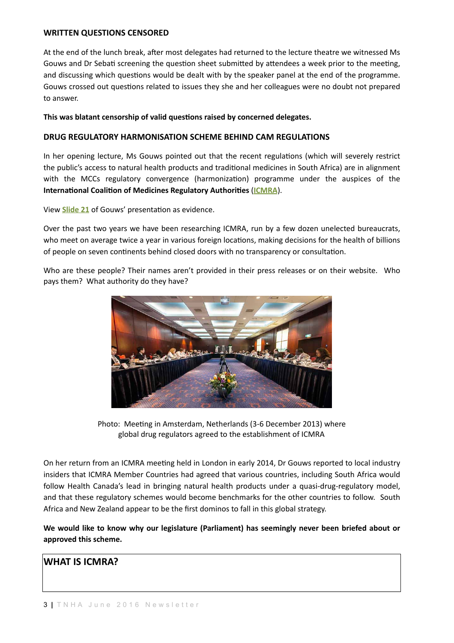#### **WRITTEN QUESTIONS CENSORED**

At the end of the lunch break, after most delegates had returned to the lecture theatre we witnessed Ms Gouws and Dr Sebati screening the question sheet submitted by attendees a week prior to the meeting, and discussing which questions would be dealt with by the speaker panel at the end of the programme. Gouws crossed out questions related to issues they she and her colleagues were no doubt not prepared to answer.

#### This was blatant censorship of valid questions raised by concerned delegates.

#### **DRUG REGULATORY HARMONISATION SCHEME BEHIND CAM REGULATIONS**

In her opening lecture. Ms Gouws pointed out that the recent regulations (which will severely restrict the public's access to natural health products and traditional medicines in South Africa) are in alignment with the MCCs regulatory convergence (harmonization) programme under the auspices of the **International Coalition of Medicines Regulatory Authorities ([ICMRA](http://www.icmra.info/)).** 

View **Slide 21** of Gouws' presentation as evidence.

Over the past two years we have been researching ICMRA, run by a few dozen unelected bureaucrats, who meet on average twice a year in various foreign locations, making decisions for the health of billions of people on seven continents behind closed doors with no transparency or consultation.

Who are these people? Their names aren't provided in their press releases or on their website. Who pays them? What authority do they have?



Photo: Meeting in Amsterdam, Netherlands (3-6 December 2013) where global drug regulators agreed to the establishment of ICMRA

On her return from an ICMRA meeting held in London in early 2014, Dr Gouws reported to local industry insiders that ICMRA Member Countries had agreed that various countries, including South Africa would follow Health Canada's lead in bringing natural health products under a quasi-drug-regulatory model, and that these regulatory schemes would become benchmarks for the other countries to follow. South Africa and New Zealand appear to be the first dominos to fall in this global strategy.

We would like to know why our legislature (Parliament) has seemingly never been briefed about or approved this scheme.

## **WHAT IS ICMRA?**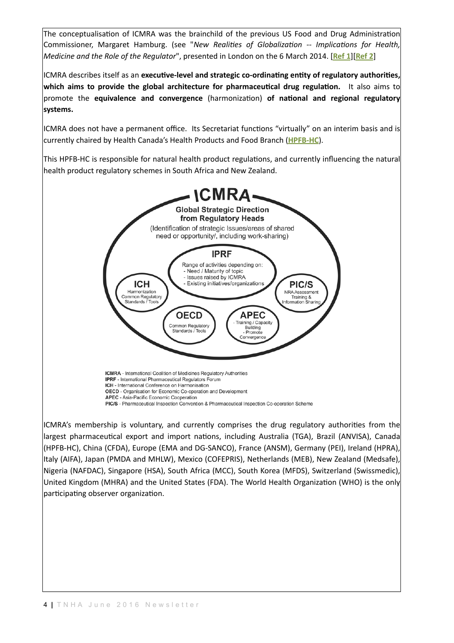The conceptualisation of ICMRA was the brainchild of the previous US Food and Drug Administration Commissioner, Margaret Hamburg. (see "*New Realities of Globalization -- Implications for Health, Medicine and the Role of the Regulator*", presented in London on the 6 March 2014. [Ref 1][Ref 2]

ICMRA describes itself as an executive-level and strategic co-ordinating entity of regulatory authorities, which aims to provide the global architecture for pharmaceutical drug regulation. It also aims to promote the **equivalence and convergence** (harmonization) of national and regional regulatory **systems.** 

ICMRA does not have a permanent office. Its Secretariat functions "virtually" on an interim basis and is currently chaired by Health Canada's Health Products and Food Branch (**[HPFB-HC](http://www.hc-sc.gc.ca/ahc-asc/branch-dirgen/hpfb-dgpsa/index-eng.php)**). 

This HPFB-HC is responsible for natural health product regulations, and currently influencing the natural health product regulatory schemes in South Africa and New Zealand.



ICMRA's membership is voluntary, and currently comprises the drug regulatory authorities from the largest pharmaceutical export and import nations, including Australia (TGA), Brazil (ANVISA), Canada (HPFB-HC), China (CFDA), Europe (EMA and DG-SANCO), France (ANSM), Germany (PEI), Ireland (HPRA), Italy (AIFA), Japan (PMDA and MHLW), Mexico (COFEPRIS), Netherlands (MEB), New Zealand (Medsafe), Nigeria (NAFDAC), Singapore (HSA), South Africa (MCC), South Korea (MFDS), Switzerland (Swissmedic), United Kingdom (MHRA) and the United States (FDA). The World Health Organization (WHO) is the only participating observer organization.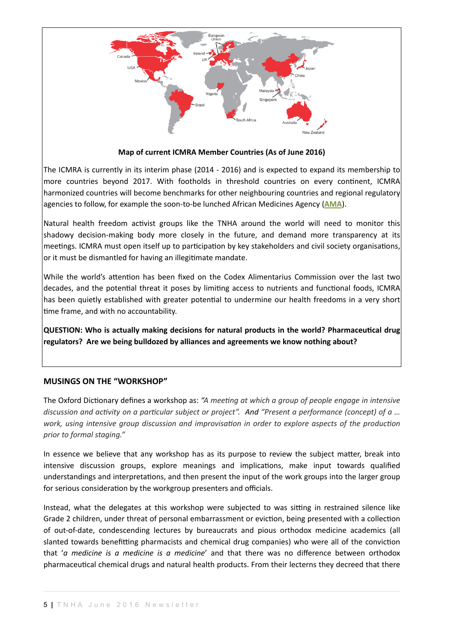

#### **Map of current ICMRA Member Countries (As of June 2016)**

The ICMRA is currently in its interim phase (2014 - 2016) and is expected to expand its membership to more countries beyond 2017. With footholds in threshold countries on every continent, ICMRA harmonized countries will become benchmarks for other neighbouring countries and regional regulatory agencies to follow, for example the soon-to-be lunched African Medicines Agency (**[AMA](http://www.naturalhealthalliance.co.za/February2016/NEWSLETTERFEB2016.pdf)**).

Natural health freedom activist groups like the TNHA around the world will need to monitor this shadowy decision-making body more closely in the future, and demand more transparency at its meetings. ICMRA must open itself up to participation by key stakeholders and civil society organisations, or it must be dismantled for having an illegitimate mandate.

While the world's attention has been fixed on the Codex Alimentarius Commission over the last two decades, and the potential threat it poses by limiting access to nutrients and functional foods, ICMRA has been quietly established with greater potential to undermine our health freedoms in a very short time frame, and with no accountability.

**QUESTION: Who is actually making decisions for natural products in the world? Pharmaceutical drug** regulators? Are we being bulldozed by alliances and agreements we know nothing about?

## **MUSINGS ON THE "WORKSHOP"**

The Oxford Dictionary defines a workshop as: "A meeting at which a group of people engage in intensive discussion and activity on a particular subject or project". And "Present a performance (concept) of a ... work, using intensive group discussion and improvisation in order to explore aspects of the production *prior to formal staging."*

In essence we believe that any workshop has as its purpose to review the subject matter, break into intensive discussion groups, explore meanings and implications, make input towards qualified understandings and interpretations, and then present the input of the work groups into the larger group for serious consideration by the workgroup presenters and officials.

Instead, what the delegates at this workshop were subjected to was sitting in restrained silence like Grade 2 children, under threat of personal embarrassment or eviction, being presented with a collection of out-of-date, condescending lectures by bureaucrats and pious orthodox medicine academics (all slanted towards benefitting pharmacists and chemical drug companies) who were all of the conviction that '*a* medicine is a medicine is a medicine' and that there was no difference between orthodox pharmaceutical chemical drugs and natural health products. From their lecterns they decreed that there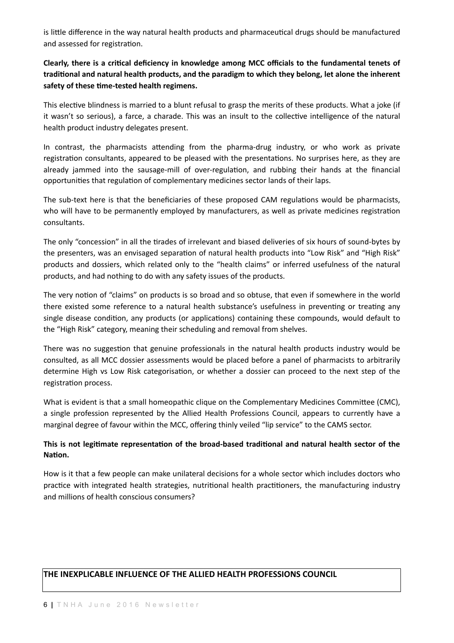is little difference in the way natural health products and pharmaceutical drugs should be manufactured and assessed for registration.

## Clearly, there is a critical deficiency in knowledge among MCC officials to the fundamental tenets of traditional and natural health products, and the paradigm to which they belong, let alone the inherent safety of these time-tested health regimens.

This elective blindness is married to a blunt refusal to grasp the merits of these products. What a joke (if it wasn't so serious), a farce, a charade. This was an insult to the collective intelligence of the natural health product industry delegates present.

In contrast, the pharmacists attending from the pharma-drug industry, or who work as private registration consultants, appeared to be pleased with the presentations. No surprises here, as they are already jammed into the sausage-mill of over-regulation, and rubbing their hands at the financial opportunities that regulation of complementary medicines sector lands of their laps.

The sub-text here is that the beneficiaries of these proposed CAM regulations would be pharmacists, who will have to be permanently employed by manufacturers, as well as private medicines registration consultants. 

The only "concession" in all the tirades of irrelevant and biased deliveries of six hours of sound-bytes by the presenters, was an envisaged separation of natural health products into "Low Risk" and "High Risk" products and dossiers, which related only to the "health claims" or inferred usefulness of the natural products, and had nothing to do with any safety issues of the products.

The very notion of "claims" on products is so broad and so obtuse, that even if somewhere in the world there existed some reference to a natural health substance's usefulness in preventing or treating any single disease condition, any products (or applications) containing these compounds, would default to the "High Risk" category, meaning their scheduling and removal from shelves.

There was no suggestion that genuine professionals in the natural health products industry would be consulted, as all MCC dossier assessments would be placed before a panel of pharmacists to arbitrarily determine High vs Low Risk categorisation, or whether a dossier can proceed to the next step of the registration process.

What is evident is that a small homeopathic clique on the Complementary Medicines Committee (CMC), a single profession represented by the Allied Health Professions Council, appears to currently have a marginal degree of favour within the MCC, offering thinly veiled "lip service" to the CAMS sector.

## This is not legitimate representation of the broad-based traditional and natural health sector of the **Nation.**

How is it that a few people can make unilateral decisions for a whole sector which includes doctors who practice with integrated health strategies, nutritional health practitioners, the manufacturing industry and millions of health conscious consumers?

## THE INEXPLICABLE INFLUENCE OF THE ALLIED HEALTH PROFESSIONS COUNCIL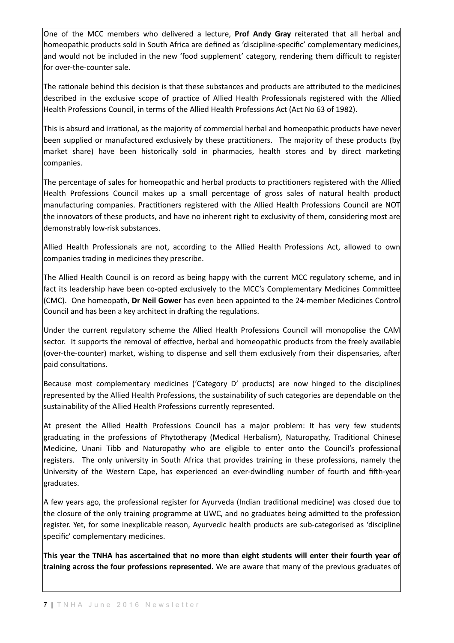One of the MCC members who delivered a lecture, Prof Andy Gray reiterated that all herbal and homeopathic products sold in South Africa are defined as 'discipline-specific' complementary medicines, and would not be included in the new 'food supplement' category, rendering them difficult to register for over-the-counter sale.

The rationale behind this decision is that these substances and products are attributed to the medicines described in the exclusive scope of practice of Allied Health Professionals registered with the Allied Health Professions Council, in terms of the Allied Health Professions Act (Act No 63 of 1982).

This is absurd and irrational, as the majority of commercial herbal and homeopathic products have never been supplied or manufactured exclusively by these practitioners. The majority of these products (by market share) have been historically sold in pharmacies, health stores and by direct marketing companies. 

The percentage of sales for homeopathic and herbal products to practitioners registered with the Allied Health Professions Council makes up a small percentage of gross sales of natural health product manufacturing companies. Practitioners registered with the Allied Health Professions Council are NOT the innovators of these products, and have no inherent right to exclusivity of them, considering most are demonstrably low-risk substances.

Allied Health Professionals are not, according to the Allied Health Professions Act, allowed to own companies trading in medicines they prescribe.

The Allied Health Council is on record as being happy with the current MCC regulatory scheme, and in fact its leadership have been co-opted exclusively to the MCC's Complementary Medicines Committee (CMC). One homeopath, Dr Neil Gower has even been appointed to the 24-member Medicines Control Council and has been a key architect in drafting the regulations.

Under the current regulatory scheme the Allied Health Professions Council will monopolise the CAM sector. It supports the removal of effective, herbal and homeopathic products from the freely available (over-the-counter) market, wishing to dispense and sell them exclusively from their dispensaries, after paid consultations.

Because most complementary medicines ('Category D' products) are now hinged to the disciplines represented by the Allied Health Professions, the sustainability of such categories are dependable on the sustainability of the Allied Health Professions currently represented.

At present the Allied Health Professions Council has a major problem: It has very few students graduating in the professions of Phytotherapy (Medical Herbalism), Naturopathy, Traditional Chinese Medicine, Unani Tibb and Naturopathy who are eligible to enter onto the Council's professional registers. The only university in South Africa that provides training in these professions, namely the University of the Western Cape, has experienced an ever-dwindling number of fourth and fifth-year graduates. 

A few years ago, the professional register for Ayurveda (Indian traditional medicine) was closed due to the closure of the only training programme at UWC, and no graduates being admitted to the profession register. Yet, for some inexplicable reason, Ayurvedic health products are sub-categorised as 'discipline specific' complementary medicines.

This year the TNHA has ascertained that no more than eight students will enter their fourth year of training across the four professions represented. We are aware that many of the previous graduates of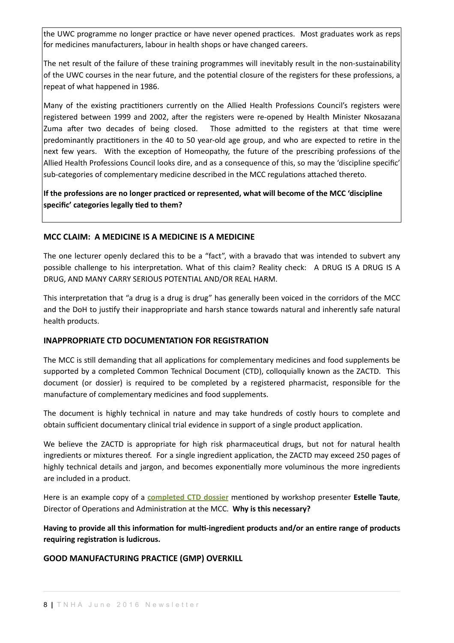the UWC programme no longer practice or have never opened practices. Most graduates work as reps for medicines manufacturers, labour in health shops or have changed careers.

The net result of the failure of these training programmes will inevitably result in the non-sustainability of the UWC courses in the near future, and the potential closure of the registers for these professions, a repeat of what happened in 1986.

Many of the existing practitioners currently on the Allied Health Professions Council's registers were registered between 1999 and 2002, after the registers were re-opened by Health Minister Nkosazana Zuma after two decades of being closed. Those admitted to the registers at that time were predominantly practitioners in the 40 to 50 year-old age group, and who are expected to retire in the next few years. With the exception of Homeopathy, the future of the prescribing professions of the Allied Health Professions Council looks dire, and as a consequence of this, so may the 'discipline specific' sub-categories of complementary medicine described in the MCC regulations attached thereto.

If the professions are no longer practiced or represented, what will become of the MCC 'discipline specific' categories legally tied to them?

## **MCC CLAIM: A MEDICINE IS A MEDICINE IS A MEDICINE**

The one lecturer openly declared this to be a "fact", with a bravado that was intended to subvert any possible challenge to his interpretation. What of this claim? Reality check: A DRUG IS A DRUG IS A DRUG, AND MANY CARRY SERIOUS POTENTIAL AND/OR REAL HARM.

This interpretation that "a drug is a drug is drug" has generally been voiced in the corridors of the MCC and the DoH to justify their inappropriate and harsh stance towards natural and inherently safe natural health products.

## **INAPPROPRIATE CTD DOCUMENTATION FOR REGISTRATION**

The MCC is still demanding that all applications for complementary medicines and food supplements be supported by a completed Common Technical Document (CTD), colloquially known as the ZACTD. This document (or dossier) is required to be completed by a registered pharmacist, responsible for the manufacture of complementary medicines and food supplements.

The document is highly technical in nature and may take hundreds of costly hours to complete and obtain sufficient documentary clinical trial evidence in support of a single product application.

We believe the ZACTD is appropriate for high risk pharmaceutical drugs, but not for natural health ingredients or mixtures thereof. For a single ingredient application, the ZACTD may exceed 250 pages of highly technical details and jargon, and becomes exponentially more voluminous the more ingredients are included in a product.

Here is an example copy of a **completed CTD dossier** mentioned by workshop presenter **Estelle Taute**, Director of Operations and Administration at the MCC. Why is this necessary?

Having to provide all this information for multi-ingredient products and/or an entire range of products requiring registration is ludicrous.

## **GOOD MANUFACTURING PRACTICE (GMP) OVERKILL**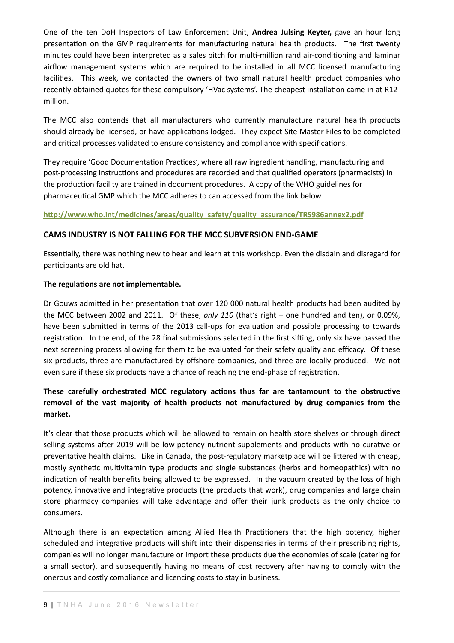One of the ten DoH Inspectors of Law Enforcement Unit, **Andrea Julsing Keyter,** gave an hour long presentation on the GMP requirements for manufacturing natural health products. The first twenty minutes could have been interpreted as a sales pitch for multi-million rand air-conditioning and laminar airflow management systems which are required to be installed in all MCC licensed manufacturing facilities. This week, we contacted the owners of two small natural health product companies who recently obtained quotes for these compulsory 'HVac systems'. The cheapest installation came in at R12million. 

The MCC also contends that all manufacturers who currently manufacture natural health products should already be licensed, or have applications lodged. They expect Site Master Files to be completed and critical processes validated to ensure consistency and compliance with specifications.

They require 'Good Documentation Practices', where all raw ingredient handling, manufacturing and post-processing instructions and procedures are recorded and that qualified operators (pharmacists) in the production facility are trained in document procedures. A copy of the WHO guidelines for pharmaceutical GMP which the MCC adheres to can accessed from the link below

#### **[hjp://www.who.int/medicines/areas/quality\\_safety/quality\\_assurance/TRS986annex2.pdf](http://www.who.int/medicines/areas/quality_safety/quality_assurance/TRS986annex2.pdf)**

#### **CAMS INDUSTRY IS NOT FALLING FOR THE MCC SUBVERSION END-GAME**

Essentially, there was nothing new to hear and learn at this workshop. Even the disdain and disregard for participants are old hat.

#### The regulations are not implementable.

Dr Gouws admitted in her presentation that over 120 000 natural health products had been audited by the MCC between 2002 and 2011. Of these, only 110 (that's right – one hundred and ten), or 0,09%, have been submitted in terms of the 2013 call-ups for evaluation and possible processing to towards registration. In the end, of the 28 final submissions selected in the first sifting, only six have passed the next screening process allowing for them to be evaluated for their safety quality and efficacy. Of these six products, three are manufactured by offshore companies, and three are locally produced. We not even sure if these six products have a chance of reaching the end-phase of registration.

## These carefully orchestrated MCC regulatory actions thus far are tantamount to the obstructive removal of the vast majority of health products not manufactured by drug companies from the market.

It's clear that those products which will be allowed to remain on health store shelves or through direct selling systems after 2019 will be low-potency nutrient supplements and products with no curative or preventative health claims. Like in Canada, the post-regulatory marketplace will be littered with cheap, mostly synthetic multivitamin type products and single substances (herbs and homeopathics) with no indication of health benefits being allowed to be expressed. In the vacuum created by the loss of high potency, innovative and integrative products (the products that work), drug companies and large chain store pharmacy companies will take advantage and offer their junk products as the only choice to consumers. 

Although there is an expectation among Allied Health Practitioners that the high potency, higher scheduled and integrative products will shift into their dispensaries in terms of their prescribing rights, companies will no longer manufacture or import these products due the economies of scale (catering for a small sector), and subsequently having no means of cost recovery after having to comply with the onerous and costly compliance and licencing costs to stay in business.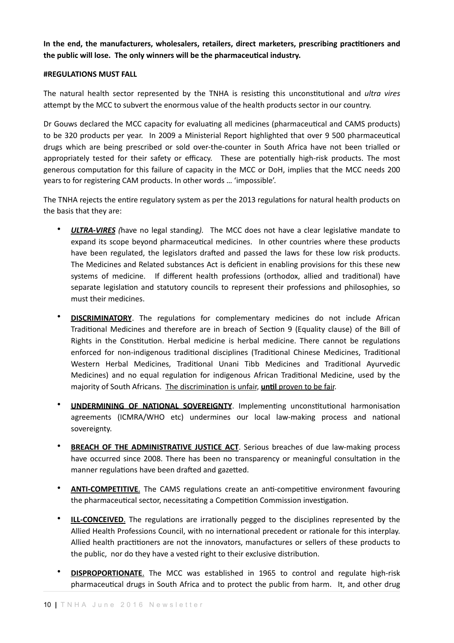In the end, the manufacturers, wholesalers, retailers, direct marketers, prescribing practitioners and the public will lose. The only winners will be the pharmaceutical industry.

#### **#REGULATIONS MUST FALL**

The natural health sector represented by the TNHA is resisting this unconstitutional and *ultra vires* attempt by the MCC to subvert the enormous value of the health products sector in our country.

Dr Gouws declared the MCC capacity for evaluating all medicines (pharmaceutical and CAMS products) to be 320 products per year. In 2009 a Ministerial Report highlighted that over 9 500 pharmaceutical drugs which are being prescribed or sold over-the-counter in South Africa have not been trialled or appropriately tested for their safety or efficacy. These are potentially high-risk products. The most generous computation for this failure of capacity in the MCC or DoH, implies that the MCC needs 200 years to for registering CAM products. In other words ... 'impossible'.

The TNHA rejects the entire regulatory system as per the 2013 regulations for natural health products on the basis that they are:

- **ULTRA-VIRES** (have no legal standing). The MCC does not have a clear legislative mandate to expand its scope beyond pharmaceutical medicines. In other countries where these products have been regulated, the legislators drafted and passed the laws for these low risk products. The Medicines and Related substances Act is deficient in enabling provisions for this these new systems of medicine. If different health professions (orthodox, allied and traditional) have separate legislation and statutory councils to represent their professions and philosophies, so must their medicines.
- **DISCRIMINATORY**. The regulations for complementary medicines do not include African Traditional Medicines and therefore are in breach of Section 9 (Equality clause) of the Bill of Rights in the Constitution. Herbal medicine is herbal medicine. There cannot be regulations enforced for non-indigenous traditional disciplines (Traditional Chinese Medicines, Traditional Western Herbal Medicines, Traditional Unani Tibb Medicines and Traditional Ayurvedic Medicines) and no equal regulation for indigenous African Traditional Medicine, used by the majority of South Africans. The discrimination is unfair, *until proven to be fair.*
- **UNDERMINING OF NATIONAL SOVEREIGNTY**. Implementing unconstitutional harmonisation agreements (ICMRA/WHO etc) undermines our local law-making process and national sovereignty.
- **BREACH OF THE ADMINISTRATIVE JUSTICE ACT**. Serious breaches of due law-making process have occurred since 2008. There has been no transparency or meaningful consultation in the manner regulations have been drafted and gazetted.
- **ANTI-COMPETITIVE**. The CAMS regulations create an anti-competitive environment favouring the pharmaceutical sector, necessitating a Competition Commission investigation.
- **ILL-CONCEIVED**. The regulations are irrationally pegged to the disciplines represented by the Allied Health Professions Council, with no international precedent or rationale for this interplay. Allied health practitioners are not the innovators, manufactures or sellers of these products to the public, nor do they have a vested right to their exclusive distribution.
- **DISPROPORTIONATE**. The MCC was established in 1965 to control and regulate high-risk pharmaceutical drugs in South Africa and to protect the public from harm. It, and other drug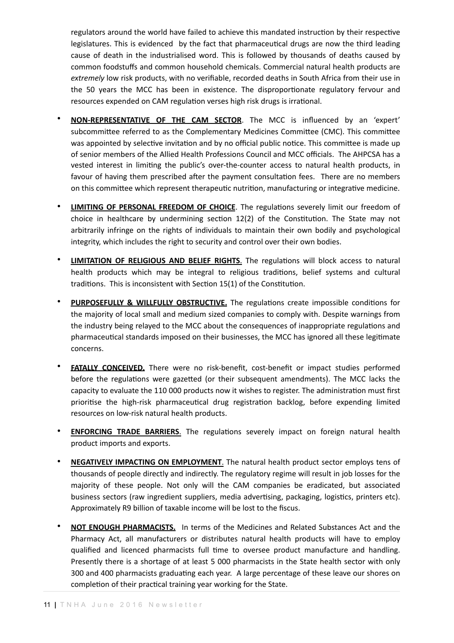regulators around the world have failed to achieve this mandated instruction by their respective legislatures. This is evidenced by the fact that pharmaceutical drugs are now the third leading cause of death in the industrialised word. This is followed by thousands of deaths caused by common foodstuffs and common household chemicals. Commercial natural health products are extremely low risk products, with no verifiable, recorded deaths in South Africa from their use in the 50 years the MCC has been in existence. The disproportionate regulatory fervour and resources expended on CAM regulation verses high risk drugs is irrational.

- **NON-REPRESENTATIVE OF THE CAM SECTOR**. The MCC is influenced by an 'expert' subcommittee referred to as the Complementary Medicines Committee (CMC). This committee was appointed by selective invitation and by no official public notice. This committee is made up of senior members of the Allied Health Professions Council and MCC officials. The AHPCSA has a vested interest in limiting the public's over-the-counter access to natural health products, in favour of having them prescribed after the payment consultation fees. There are no members on this committee which represent therapeutic nutrition, manufacturing or integrative medicine.
- **LIMITING OF PERSONAL FREEDOM OF CHOICE**. The regulations severely limit our freedom of choice in healthcare by undermining section  $12(2)$  of the Constitution. The State may not arbitrarily infringe on the rights of individuals to maintain their own bodily and psychological integrity, which includes the right to security and control over their own bodies.
- LIMITATION OF RELIGIOUS AND BELIEF RIGHTS. The regulations will block access to natural health products which may be integral to religious traditions, belief systems and cultural traditions. This is inconsistent with Section 15(1) of the Constitution.
- **PURPOSEFULLY & WILLFULLY OBSTRUCTIVE.** The regulations create impossible conditions for the majority of local small and medium sized companies to comply with. Despite warnings from the industry being relayed to the MCC about the consequences of inappropriate regulations and pharmaceutical standards imposed on their businesses, the MCC has ignored all these legitimate concerns.
- **FATALLY CONCEIVED.** There were no risk-benefit, cost-benefit or impact studies performed before the regulations were gazetted (or their subsequent amendments). The MCC lacks the capacity to evaluate the 110 000 products now it wishes to register. The administration must first prioritise the high-risk pharmaceutical drug registration backlog, before expending limited resources on low-risk natural health products.
- **ENFORCING TRADE BARRIERS**. The regulations severely impact on foreign natural health product imports and exports.
- **NEGATIVELY IMPACTING ON EMPLOYMENT**. The natural health product sector employs tens of thousands of people directly and indirectly. The regulatory regime will result in job losses for the majority of these people. Not only will the CAM companies be eradicated, but associated business sectors (raw ingredient suppliers, media advertising, packaging, logistics, printers etc). Approximately R9 billion of taxable income will be lost to the fiscus.
- **NOT ENOUGH PHARMACISTS.** In terms of the Medicines and Related Substances Act and the Pharmacy Act, all manufacturers or distributes natural health products will have to employ qualified and licenced pharmacists full time to oversee product manufacture and handling. Presently there is a shortage of at least 5 000 pharmacists in the State health sector with only 300 and 400 pharmacists graduating each year. A large percentage of these leave our shores on completion of their practical training year working for the State.